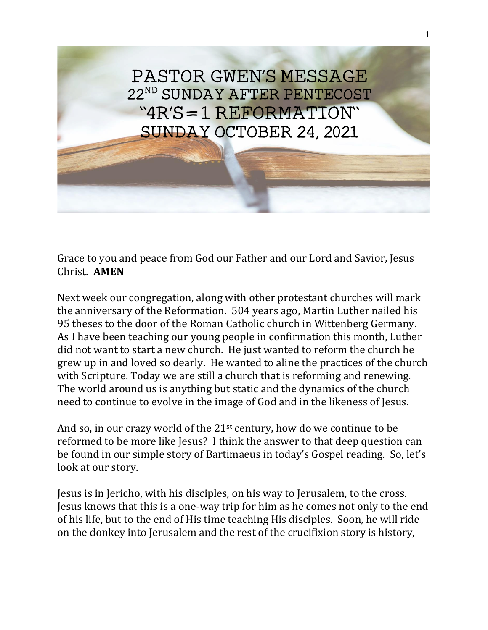

Grace to you and peace from God our Father and our Lord and Savior, Jesus Christ. **AMEN**

Next week our congregation, along with other protestant churches will mark the anniversary of the Reformation. 504 years ago, Martin Luther nailed his 95 theses to the door of the Roman Catholic church in Wittenberg Germany. As I have been teaching our young people in confirmation this month, Luther did not want to start a new church. He just wanted to reform the church he grew up in and loved so dearly. He wanted to aline the practices of the church with Scripture. Today we are still a church that is reforming and renewing. The world around us is anything but static and the dynamics of the church need to continue to evolve in the image of God and in the likeness of Jesus.

And so, in our crazy world of the  $21<sup>st</sup>$  century, how do we continue to be reformed to be more like Jesus? I think the answer to that deep question can be found in our simple story of Bartimaeus in today's Gospel reading. So, let's look at our story.

Jesus is in Jericho, with his disciples, on his way to Jerusalem, to the cross. Jesus knows that this is a one-way trip for him as he comes not only to the end of his life, but to the end of His time teaching His disciples. Soon, he will ride on the donkey into Jerusalem and the rest of the crucifixion story is history,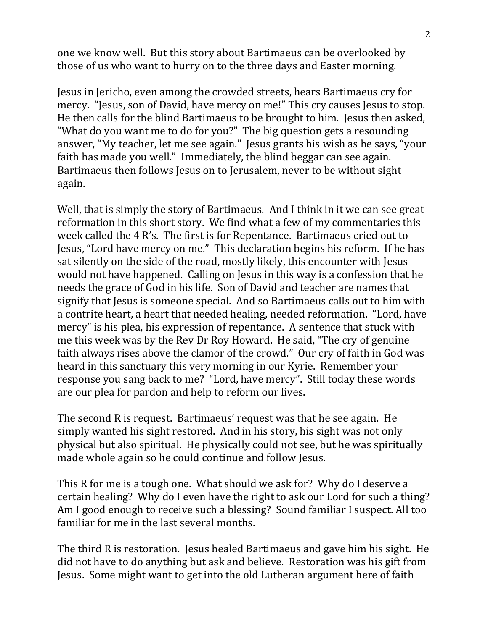one we know well. But this story about Bartimaeus can be overlooked by those of us who want to hurry on to the three days and Easter morning.

Jesus in Jericho, even among the crowded streets, hears Bartimaeus cry for mercy. "Jesus, son of David, have mercy on me!" This cry causes Jesus to stop. He then calls for the blind Bartimaeus to be brought to him. Jesus then asked, "What do you want me to do for you?" The big question gets a resounding answer, "My teacher, let me see again." Jesus grants his wish as he says, "your faith has made you well." Immediately, the blind beggar can see again. Bartimaeus then follows Jesus on to Jerusalem, never to be without sight again.

Well, that is simply the story of Bartimaeus. And I think in it we can see great reformation in this short story. We find what a few of my commentaries this week called the 4 R's. The first is for Repentance. Bartimaeus cried out to Jesus, "Lord have mercy on me." This declaration begins his reform. If he has sat silently on the side of the road, mostly likely, this encounter with Jesus would not have happened. Calling on Jesus in this way is a confession that he needs the grace of God in his life. Son of David and teacher are names that signify that Jesus is someone special. And so Bartimaeus calls out to him with a contrite heart, a heart that needed healing, needed reformation. "Lord, have mercy" is his plea, his expression of repentance. A sentence that stuck with me this week was by the Rev Dr Roy Howard. He said, "The cry of genuine faith always rises above the clamor of the crowd." Our cry of faith in God was heard in this sanctuary this very morning in our Kyrie. Remember your response you sang back to me? "Lord, have mercy". Still today these words are our plea for pardon and help to reform our lives.

The second R is request. Bartimaeus' request was that he see again. He simply wanted his sight restored. And in his story, his sight was not only physical but also spiritual. He physically could not see, but he was spiritually made whole again so he could continue and follow Jesus.

This R for me is a tough one. What should we ask for? Why do I deserve a certain healing? Why do I even have the right to ask our Lord for such a thing? Am I good enough to receive such a blessing? Sound familiar I suspect. All too familiar for me in the last several months.

The third R is restoration. Jesus healed Bartimaeus and gave him his sight. He did not have to do anything but ask and believe. Restoration was his gift from Jesus. Some might want to get into the old Lutheran argument here of faith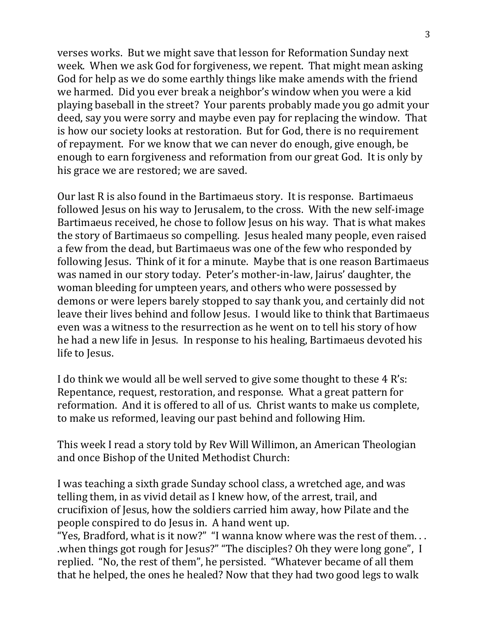verses works. But we might save that lesson for Reformation Sunday next week. When we ask God for forgiveness, we repent. That might mean asking God for help as we do some earthly things like make amends with the friend we harmed. Did you ever break a neighbor's window when you were a kid playing baseball in the street? Your parents probably made you go admit your deed, say you were sorry and maybe even pay for replacing the window. That is how our society looks at restoration. But for God, there is no requirement of repayment. For we know that we can never do enough, give enough, be enough to earn forgiveness and reformation from our great God. It is only by his grace we are restored; we are saved.

Our last R is also found in the Bartimaeus story. It is response. Bartimaeus followed Jesus on his way to Jerusalem, to the cross. With the new self-image Bartimaeus received, he chose to follow Jesus on his way. That is what makes the story of Bartimaeus so compelling. Jesus healed many people, even raised a few from the dead, but Bartimaeus was one of the few who responded by following Jesus. Think of it for a minute. Maybe that is one reason Bartimaeus was named in our story today. Peter's mother-in-law, Jairus' daughter, the woman bleeding for umpteen years, and others who were possessed by demons or were lepers barely stopped to say thank you, and certainly did not leave their lives behind and follow Jesus. I would like to think that Bartimaeus even was a witness to the resurrection as he went on to tell his story of how he had a new life in Jesus. In response to his healing, Bartimaeus devoted his life to Jesus.

I do think we would all be well served to give some thought to these 4 R's: Repentance, request, restoration, and response. What a great pattern for reformation. And it is offered to all of us. Christ wants to make us complete, to make us reformed, leaving our past behind and following Him.

This week I read a story told by Rev Will Willimon, an American Theologian and once Bishop of the United Methodist Church:

I was teaching a sixth grade Sunday school class, a wretched age, and was telling them, in as vivid detail as I knew how, of the arrest, trail, and crucifixion of Jesus, how the soldiers carried him away, how Pilate and the people conspired to do Jesus in. A hand went up.

"Yes, Bradford, what is it now?" "I wanna know where was the rest of them. . . .when things got rough for Jesus?" "The disciples? Oh they were long gone", I replied. "No, the rest of them", he persisted. "Whatever became of all them that he helped, the ones he healed? Now that they had two good legs to walk